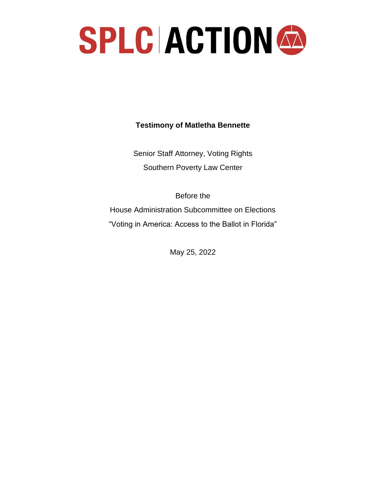

**Testimony of Matletha Bennette** 

Senior Staff Attorney, Voting Rights Southern Poverty Law Center

Before the House Administration Subcommittee on Elections "Voting in America: Access to the Ballot in Florida"

May 25, 2022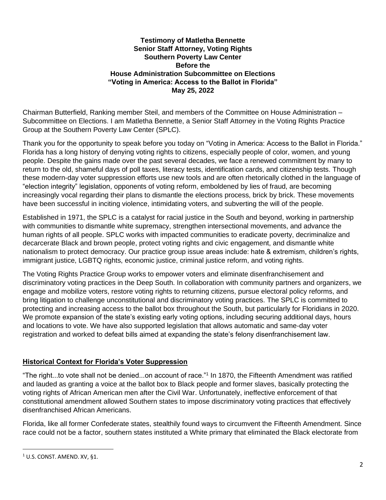#### **Testimony of Matletha Bennette Senior Staff Attorney, Voting Rights Southern Poverty Law Center Before the House Administration Subcommittee on Elections "Voting in America: Access to the Ballot in Florida" May 25, 2022**

Chairman Butterfield, Ranking member Steil, and members of the Committee on House Administration – Subcommittee on Elections. I am Matletha Bennette, a Senior Staff Attorney in the Voting Rights Practice Group at the Southern Poverty Law Center (SPLC).

Thank you for the opportunity to speak before you today on "Voting in America: Access to the Ballot in Florida." Florida has a long history of denying voting rights to citizens, especially people of color, women, and young people. Despite the gains made over the past several decades, we face a renewed commitment by many to return to the old, shameful days of poll taxes, literacy tests, identification cards, and citizenship tests. Though these modern-day voter suppression efforts use new tools and are often rhetorically clothed in the language of "election integrity" legislation, opponents of voting reform, emboldened by lies of fraud, are becoming increasingly vocal regarding their plans to dismantle the elections process, brick by brick. These movements have been successful in inciting violence, intimidating voters, and subverting the will of the people.

Established in 1971, the SPLC is a catalyst for racial justice in the South and beyond, working in partnership with communities to dismantle white supremacy, strengthen intersectional movements, and advance the human rights of all people. SPLC works with impacted communities to eradicate poverty, decriminalize and decarcerate Black and brown people, protect voting rights and civic engagement, and dismantle white nationalism to protect democracy. Our practice group issue areas include: hate & extremism, children's rights, immigrant justice, LGBTQ rights, economic justice, criminal justice reform, and voting rights.

The Voting Rights Practice Group works to empower voters and eliminate disenfranchisement and discriminatory voting practices in the Deep South. In collaboration with community partners and organizers, we engage and mobilize voters, restore voting rights to returning citizens, pursue electoral policy reforms, and bring litigation to challenge unconstitutional and discriminatory voting practices. The SPLC is committed to protecting and increasing access to the ballot box throughout the South, but particularly for Floridians in 2020. We promote expansion of the state's existing early voting options, including securing additional days, hours and locations to vote. We have also supported legislation that allows automatic and same-day voter registration and worked to defeat bills aimed at expanding the state's felony disenfranchisement law.

### **Historical Context for Florida's Voter Suppression**

"The right...to vote shall not be denied...on account of race."<sup>1</sup> In 1870, the Fifteenth Amendment was ratified and lauded as granting a voice at the ballot box to Black people and former slaves, basically protecting the voting rights of African American men after the Civil War. Unfortunately, ineffective enforcement of that constitutional amendment allowed Southern states to impose discriminatory voting practices that effectively disenfranchised African Americans.

Florida, like all former Confederate states, stealthily found ways to circumvent the Fifteenth Amendment. Since race could not be a factor, southern states instituted a White primary that eliminated the Black electorate from

 $1$  U.S. CONST. AMEND. XV, §1.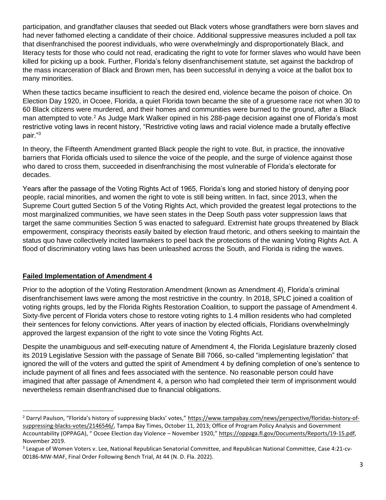participation, and grandfather clauses that seeded out Black voters whose grandfathers were born slaves and had never fathomed electing a candidate of their choice. Additional suppressive measures included a poll tax that disenfranchised the poorest individuals, who were overwhelmingly and disproportionately Black, and literacy tests for those who could not read, eradicating the right to vote for former slaves who would have been killed for picking up a book. Further, Florida's felony disenfranchisement statute, set against the backdrop of the mass incarceration of Black and Brown men, has been successful in denying a voice at the ballot box to many minorities.

When these tactics became insufficient to reach the desired end, violence became the poison of choice. On Election Day 1920, in Ocoee, Florida, a quiet Florida town became the site of a gruesome race riot when 30 to 60 Black citizens were murdered, and their homes and communities were burned to the ground, after a Black man attempted to vote.<sup>2</sup> As Judge Mark Walker opined in his 288-page decision against one of Florida's most restrictive voting laws in recent history, "Restrictive voting laws and racial violence made a brutally effective pair."<sup>3</sup>

In theory, the Fifteenth Amendment granted Black people the right to vote. But, in practice, the innovative barriers that Florida officials used to silence the voice of the people, and the surge of violence against those who dared to cross them, succeeded in disenfranchising the most vulnerable of Florida's electorate for decades.

Years after the passage of the Voting Rights Act of 1965, Florida's long and storied history of denying poor people, racial minorities, and women the right to vote is still being written. In fact, since 2013, when the Supreme Court gutted Section 5 of the Voting Rights Act, which provided the greatest legal protections to the most marginalized communities, we have seen states in the Deep South pass voter suppression laws that target the same communities Section 5 was enacted to safeguard. Extremist hate groups threatened by Black empowerment, conspiracy theorists easily baited by election fraud rhetoric, and others seeking to maintain the status quo have collectively incited lawmakers to peel back the protections of the waning Voting Rights Act. A flood of discriminatory voting laws has been unleashed across the South, and Florida is riding the waves.

### **Failed Implementation of Amendment 4**

Prior to the adoption of the Voting Restoration Amendment (known as Amendment 4), Florida's criminal disenfranchisement laws were among the most restrictive in the country. In 2018, SPLC joined a coalition of voting rights groups, led by the Florida Rights Restoration Coalition, to support the passage of Amendment 4. Sixty-five percent of Florida voters chose to restore voting rights to 1.4 million residents who had completed their sentences for felony convictions. After years of inaction by elected officials, Floridians overwhelmingly approved the largest expansion of the right to vote since the Voting Rights Act.

Despite the unambiguous and self-executing nature of Amendment 4, the Florida Legislature brazenly closed its 2019 Legislative Session with the passage of Senate Bill 7066, so-called "implementing legislation" that ignored the will of the voters and gutted the spirit of Amendment 4 by defining completion of one's sentence to include payment of all fines and fees associated with the sentence. No reasonable person could have imagined that after passage of Amendment 4, a person who had completed their term of imprisonment would nevertheless remain disenfranchised due to financial obligations.

<sup>&</sup>lt;sup>2</sup> Darryl Paulson, "Florida's history of suppressing blacks' votes," [https://www.tampabay.com/news/perspective/floridas-history-of](https://www.tampabay.com/news/perspective/floridas-history-of-suppressing-blacks-votes/2146546/)[suppressing-blacks-votes/2146546/,](https://www.tampabay.com/news/perspective/floridas-history-of-suppressing-blacks-votes/2146546/) Tampa Bay Times, October 11, 2013; Office of Program Policy Analysis and Government Accountability (OPPAGA), "Ocoee Election day Violence - November 1920," [https://oppaga.fl.gov/Documents/Reports/19-15.pdf,](https://oppaga.fl.gov/Documents/Reports/19-15.pdf) November 2019.

<sup>&</sup>lt;sup>3</sup> League of Women Voters v. Lee, National Republican Senatorial Committee, and Republican National Committee, Case 4:21-cv-00186-MW-MAF, Final Order Following Bench Trial, At 44 (N. D. Fla. 2022).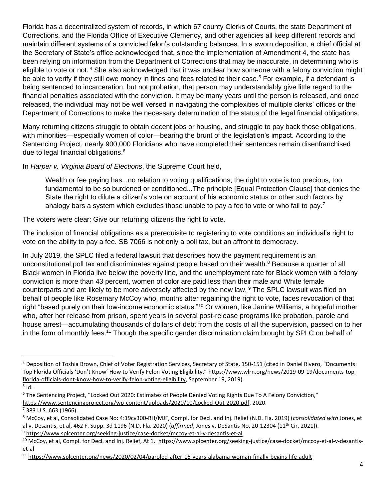Florida has a decentralized system of records, in which 67 county Clerks of Courts, the state Department of Corrections, and the Florida Office of Executive Clemency, and other agencies all keep different records and maintain different systems of a convicted felon's outstanding balances. In a sworn deposition, a chief official at the Secretary of State's office acknowledged that, since the implementation of Amendment 4, the state has been relying on information from the Department of Corrections that may be inaccurate, in determining who is eligible to vote or not. <sup>4</sup> She also acknowledged that it was unclear how someone with a felony conviction might be able to verify if they still owe money in fines and fees related to their case.<sup>5</sup> For example, if a defendant is being sentenced to incarceration, but not probation, that person may understandably give little regard to the financial penalties associated with the conviction. It may be many years until the person is released, and once released, the individual may not be well versed in navigating the complexities of multiple clerks' offices or the Department of Corrections to make the necessary determination of the status of the legal financial obligations.

Many returning citizens struggle to obtain decent jobs or housing, and struggle to pay back those obligations, with minorities—especially women of color—bearing the brunt of the legislation's impact. According to the Sentencing Project, nearly 900,000 Floridians who have completed their sentences remain disenfranchised due to legal financial obligations. 6

In *Harper v. Virginia Board of Elections*, the Supreme Court held,

Wealth or fee paying has...no relation to voting qualifications; the right to vote is too precious, too fundamental to be so burdened or conditioned...The principle [Equal Protection Clause] that denies the State the right to dilute a citizen's vote on account of his economic status or other such factors by analogy bars a system which excludes those unable to pay a fee to vote or who fail to pay.<sup>7</sup>

The voters were clear: Give our returning citizens the right to vote.

The inclusion of financial obligations as a prerequisite to registering to vote conditions an individual's right to vote on the ability to pay a fee. SB 7066 is not only a poll tax, but an affront to democracy.

In July 2019, the SPLC filed a federal lawsuit that describes how the payment requirement is an unconstitutional poll tax and discriminates against people based on their wealth.<sup>8</sup> Because a quarter of all Black women in Florida live below the poverty line, and the unemployment rate for Black women with a felony conviction is more than 43 percent, women of color are paid less than their male and White female counterparts and are likely to be more adversely affected by the new law. <sup>9</sup> The SPLC lawsuit was filed on behalf of people like Rosemary McCoy who, months after regaining the right to vote, faces revocation of that right "based purely on their low-income economic status."<sup>10</sup> Or women, like Janine Williams, a hopeful mother who, after her release from prison, spent years in several post-release programs like probation, parole and house arrest—accumulating thousands of dollars of debt from the costs of all the supervision, passed on to her in the form of monthly fees.<sup>11</sup> Though the specific gender discrimination claim brought by SPLC on behalf of

<sup>4</sup> Deposition of Toshia Brown, Chief of Voter Registration Services, Secretary of State, 150-151 (cited in Daniel Rivero, "Documents: Top Florida Officials 'Don't Know' How to Verify Felon Voting Eligibility," [https://www.wlrn.org/news/2019-09-19/documents-top](https://www.wlrn.org/news/2019-09-19/documents-top-florida-officials-dont-know-how-to-verify-felon-voting-eligibility)[florida-officials-dont-know-how-to-verify-felon-voting-eligibility,](https://www.wlrn.org/news/2019-09-19/documents-top-florida-officials-dont-know-how-to-verify-felon-voting-eligibility) September 19, 2019).

 $<sup>5</sup>$  Id.</sup>

<sup>6</sup> The Sentencing Project, "Locked Out 2020: Estimates of People Denied Voting Rights Due To A Felony Conviction," [https://www.sentencingproject.org/wp-content/uploads/2020/10/Locked-Out-2020.pdf,](https://www.sentencingproject.org/wp-content/uploads/2020/10/Locked-Out-2020.pdf) 2020.

 $7$  383 U.S. 663 (1966).

<sup>8</sup> McCoy, et al, Consolidated Case No: 4:19cv300-RH/MJF, Compl. for Decl. and Inj. Relief (N.D. Fla. 2019) (*consolidated with* Jones, et al v. Desantis, et al, 462 F. Supp. 3d 1196 (N.D. Fla. 2020) (*affirmed*, Jones v. DeSantis No. 20-12304 (11th Cir. 2021)). <sup>9</sup> <https://www.splcenter.org/seeking-justice/case-docket/mccoy-et-al-v-desantis-et-al>

<sup>&</sup>lt;sup>10</sup> McCoy, et al, Compl. for Decl. and Inj. Relief, At 1. [https://www.splcenter.org/seeking-justice/case-docket/mccoy-et-al-v-desantis](https://www.splcenter.org/seeking-justice/case-docket/mccoy-et-al-v-desantis-et-al)[et-al](https://www.splcenter.org/seeking-justice/case-docket/mccoy-et-al-v-desantis-et-al)

<sup>11</sup> <https://www.splcenter.org/news/2020/02/04/paroled-after-16-years-alabama-woman-finally-begins-life-adult>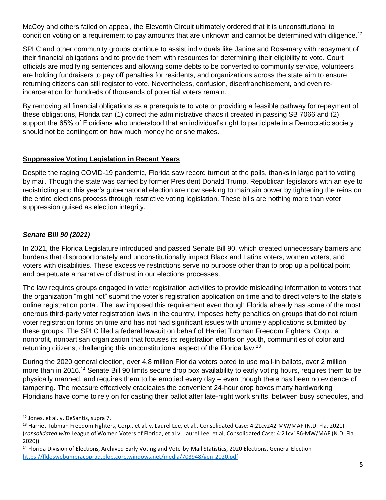McCoy and others failed on appeal, the Eleventh Circuit ultimately ordered that it is unconstitutional to condition voting on a requirement to pay amounts that are unknown and cannot be determined with diligence.<sup>12</sup>

SPLC and other community groups continue to assist individuals like Janine and Rosemary with repayment of their financial obligations and to provide them with resources for determining their eligibility to vote. Court officials are modifying sentences and allowing some debts to be converted to community service, volunteers are holding fundraisers to pay off penalties for residents, and organizations across the state aim to ensure returning citizens can still register to vote. Nevertheless, confusion, disenfranchisement, and even reincarceration for hundreds of thousands of potential voters remain.

By removing all financial obligations as a prerequisite to vote or providing a feasible pathway for repayment of these obligations, Florida can (1) correct the administrative chaos it created in passing SB 7066 and (2) support the 65% of Floridians who understood that an individual's right to participate in a Democratic society should not be contingent on how much money he or she makes.

### **Suppressive Voting Legislation in Recent Years**

Despite the raging COVID-19 pandemic, Florida saw record turnout at the polls, thanks in large part to voting by mail. Though the state was carried by former President Donald Trump, Republican legislators with an eye to redistricting and this year's gubernatorial election are now seeking to maintain power by tightening the reins on the entire elections process through restrictive voting legislation. These bills are nothing more than voter suppression guised as election integrity.

### *Senate Bill 90 (2021)*

In 2021, the Florida Legislature introduced and passed Senate Bill 90, which created unnecessary barriers and burdens that disproportionately and unconstitutionally impact Black and Latinx voters, women voters, and voters with disabilities. These excessive restrictions serve no purpose other than to prop up a political point and perpetuate a narrative of distrust in our elections processes.

The law requires groups engaged in voter registration activities to provide misleading information to voters that the organization "might not" submit the voter's registration application on time and to direct voters to the state's online registration portal. The law imposed this requirement even though Florida already has some of the most onerous third-party voter registration laws in the country, imposes hefty penalties on groups that do not return voter registration forms on time and has not had significant issues with untimely applications submitted by these groups. The SPLC filed a federal lawsuit on behalf of Harriet Tubman Freedom Fighters, Corp., a nonprofit, nonpartisan organization that focuses its registration efforts on youth, communities of color and returning citizens, challenging this unconstitutional aspect of the Florida law.<sup>13</sup>

During the 2020 general election, over 4.8 million Florida voters opted to use mail-in ballots, over 2 million more than in 2016.<sup>14</sup> Senate Bill 90 limits secure drop box availability to early voting hours, requires them to be physically manned, and requires them to be emptied every day – even though there has been no evidence of tampering. The measure effectively eradicates the convenient 24-hour drop boxes many hardworking Floridians have come to rely on for casting their ballot after late-night work shifts, between busy schedules, and

<sup>12</sup> Jones, et al. v. DeSantis, supra 7.

<sup>&</sup>lt;sup>13</sup> Harriet Tubman Freedom Fighters, Corp., et al. v. Laurel Lee, et al., Consolidated Case: 4:21cv242-MW/MAF (N.D. Fla. 2021) (*consolidated with* League of Women Voters of Florida, et al v. Laurel Lee, et al, Consolidated Case: 4:21cv186-MW/MAF (N.D. Fla. 2020))

<sup>&</sup>lt;sup>14</sup> Florida Division of Elections, Archived Early Voting and Vote-by-Mail Statistics, 2020 Elections, General Election <https://fldoswebumbracoprod.blob.core.windows.net/media/703948/gen-2020.pdf>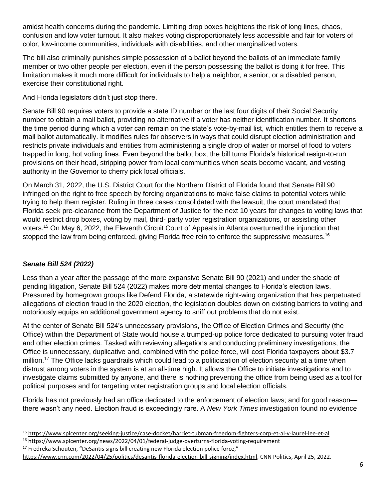amidst health concerns during the pandemic. Limiting drop boxes heightens the risk of long lines, chaos, confusion and low voter turnout. It also makes voting disproportionately less accessible and fair for voters of color, low-income communities, individuals with disabilities, and other marginalized voters.

The bill also criminally punishes simple possession of a ballot beyond the ballots of an immediate family member or two other people per election, even if the person possessing the ballot is doing it for free. This limitation makes it much more difficult for individuals to help a neighbor, a senior, or a disabled person, exercise their constitutional right.

And Florida legislators didn't just stop there.

Senate Bill 90 requires voters to provide a state ID number or the last four digits of their Social Security number to obtain a mail ballot, providing no alternative if a voter has neither identification number. It shortens the time period during which a voter can remain on the state's vote-by-mail list, which entitles them to receive a mail ballot automatically. It modifies rules for observers in ways that could disrupt election administration and restricts private individuals and entities from administering a single drop of water or morsel of food to voters trapped in long, hot voting lines. Even beyond the ballot box, the bill turns Florida's historical resign-to-run provisions on their head, stripping power from local communities when seats become vacant, and vesting authority in the Governor to cherry pick local officials.

On March 31, 2022, the U.S. District Court for the Northern District of Florida found that Senate Bill 90 infringed on the right to free speech by forcing organizations to make false claims to potential voters while trying to help them register. Ruling in three cases consolidated with the lawsuit, the court mandated that Florida seek pre-clearance from the Department of Justice for the next 10 years for changes to voting laws that would restrict drop boxes, voting by mail, third- party voter registration organizations, or assisting other voters.<sup>15</sup> On May 6, 2022, the Eleventh Circuit Court of Appeals in Atlanta overturned the injunction that stopped the law from being enforced, giving Florida free rein to enforce the suppressive measures.<sup>16</sup>

# *Senate Bill 524 (2022)*

Less than a year after the passage of the more expansive Senate Bill 90 (2021) and under the shade of pending litigation, Senate Bill 524 (2022) makes more detrimental changes to Florida's election laws. Pressured by homegrown groups like Defend Florida, a statewide right-wing organization that has perpetuated allegations of election fraud in the 2020 election, the legislation doubles down on existing barriers to voting and notoriously equips an additional government agency to sniff out problems that do not exist.

At the center of Senate Bill 524's unnecessary provisions, the Office of Election Crimes and Security (the Office) within the Department of State would house a trumped-up police force dedicated to pursuing voter fraud and other election crimes. Tasked with reviewing allegations and conducting preliminary investigations, the Office is unnecessary, duplicative and, combined with the police force, will cost Florida taxpayers about \$3.7 million.<sup>17</sup> The Office lacks guardrails which could lead to a politicization of election security at a time when distrust among voters in the system is at an all-time high. It allows the Office to initiate investigations and to investigate claims submitted by anyone, and there is nothing preventing the office from being used as a tool for political purposes and for targeting voter registration groups and local election officials.

Florida has not previously had an office dedicated to the enforcement of election laws; and for good reason there wasn't any need. Election fraud is exceedingly rare. A *New York Times* investigation found no evidence

<sup>15</sup> <https://www.splcenter.org/seeking-justice/case-docket/harriet-tubman-freedom-fighters-corp-et-al-v-laurel-lee-et-al>

<sup>&</sup>lt;sup>16</sup> <https://www.splcenter.org/news/2022/04/01/federal-judge-overturns-florida-voting-requirement>

 $17$  Fredreka Schouten, "DeSantis signs bill creating new Florida election police force,"

[https://www.cnn.com/2022/04/25/politics/desantis-florida-election-bill-signing/index.html,](https://www.cnn.com/2022/04/25/politics/desantis-florida-election-bill-signing/index.html) CNN Politics, April 25, 2022.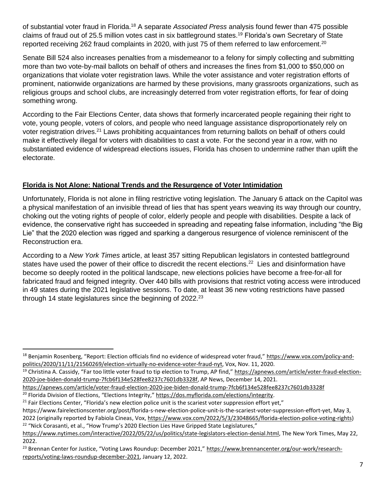of substantial voter fraud in Florida.<sup>18</sup> A separate *Associated Press* [analysis](https://apnews.com/article/voter-fraud-election-2020-joe-biden-donald-trump-7fcb6f134e528fee8237c7601db3328f) found fewer than 475 possible claims of fraud out of 25.5 million votes cast in six battleground states.<sup>19</sup> Florida's own Secretary of State [reported receiving 262 fraud complaints](https://dos.myflorida.com/elections/integrity) in 2020, with just 75 of them referred to law enforcement.<sup>20</sup>

Senate Bill 524 also increases penalties from a misdemeanor to a felony for simply collecting and submitting more than two vote-by-mail ballots on behalf of others and increases the fines from \$1,000 to \$50,000 on organizations that violate voter registration laws. While the voter assistance and voter registration efforts of prominent, nationwide organizations are harmed by these provisions, many grassroots organizations, such as religious groups and school clubs, are increasingly deterred from voter registration efforts, for fear of doing something wrong.

According to the Fair Elections Center, data shows that formerly incarcerated people regaining their right to vote, young people, voters of colors, and people who need language assistance disproportionately rely on voter registration drives.<sup>21</sup> Laws prohibiting acquaintances from returning ballots on behalf of others could make it effectively illegal for voters with disabilities to cast a vote. For the second year in a row, with no substantiated evidence of widespread elections issues, Florida has chosen to undermine rather than uplift the electorate.

## **Florida is Not Alone: National Trends and the Resurgence of Voter Intimidation**

Unfortunately, Florida is not alone in filing restrictive voting legislation. The January 6 attack on the Capitol was a physical manifestation of an invisible thread of lies that has spent years weaving its way through our country, choking out the voting rights of people of color, elderly people and people with disabilities. Despite a lack of evidence, the conservative right has succeeded in spreading and repeating false information, including "the Big Lie" that the 2020 election was rigged and sparking a dangerous resurgence of violence reminiscent of the Reconstruction era.

According to a *New York Times* article, at least 357 sitting Republican legislators in contested battleground states have used the power of their office to discredit the recent elections.<sup>22</sup> Lies and disinformation have become so deeply rooted in the political landscape, new elections policies have become a free-for-all for fabricated fraud and feigned integrity. Over 440 bills with provisions that restrict voting access were introduced in 49 states during the 2021 legislative sessions. To date, at least 36 new voting restrictions have passed through 14 state legislatures since the beginning of  $2022<sup>23</sup>$ 

[https://www.nytimes.com/interactive/2022/05/22/us/politics/state-legislators-election-denial.html,](https://www.nytimes.com/interactive/2022/05/22/us/politics/state-legislators-election-denial.html) The New York Times, May 22,

<sup>&</sup>lt;sup>18</sup> Benjamin Rosenberg, "Report: Election officials find no evidence of widespread voter fraud," [https://www.vox.com/policy-and](https://www.vox.com/policy-and-politics/2020/11/11/21560269/election-virtually-no-evidence-voter-fraud-nyt)[politics/2020/11/11/21560269/election-virtually-no-evidence-voter-fraud-nyt,](https://www.vox.com/policy-and-politics/2020/11/11/21560269/election-virtually-no-evidence-voter-fraud-nyt) Vox, Nov. 11, 2020.

<sup>&</sup>lt;sup>19</sup> Christina A. Cassidy, "Far too little voter fraud to tip election to Trump, AP find," [https://apnews.com/article/voter-fraud-election-](https://apnews.com/article/voter-fraud-election-2020-joe-biden-donald-trump-7fcb6f134e528fee8237c7601db3328f)[2020-joe-biden-donald-trump-7fcb6f134e528fee8237c7601db3328f,](https://apnews.com/article/voter-fraud-election-2020-joe-biden-donald-trump-7fcb6f134e528fee8237c7601db3328f) AP News, December 14, 2021.

<https://apnews.com/article/voter-fraud-election-2020-joe-biden-donald-trump-7fcb6f134e528fee8237c7601db3328f>

<sup>&</sup>lt;sup>20</sup> Florida Division of Elections, "Elections Integrity," https://dos.myflorida.com/elections/integrity.

<sup>&</sup>lt;sup>21</sup> Fair Elections Center, "Florida's new election police unit is the scariest voter suppression effort yet,"

https://www.fairelectionscenter.org/post/florida-s-new-election-police-unit-is-the-scariest-voter-suppression-effort-yet, May 3, 2022 (originally reported by Fabiola Cineas, Vox[, https://www.vox.com/2022/5/3/23048665/florida-election-police-voting-rights\)](https://www.vox.com/2022/5/3/23048665/florida-election-police-voting-rights) <sup>22</sup> "Nick Corasanti, et al., "How Trump's 2020 Election Lies Have Gripped State Legislatures,"

<sup>2022.</sup> 

<sup>&</sup>lt;sup>23</sup> Brennan Center for Justice, "Voting Laws Roundup: December 2021," [https://www.brennancenter.org/our-work/research](https://www.brennancenter.org/our-work/research-reports/voting-laws-roundup-december-2021)[reports/voting-laws-roundup-december-2021,](https://www.brennancenter.org/our-work/research-reports/voting-laws-roundup-december-2021) January 12, 2022.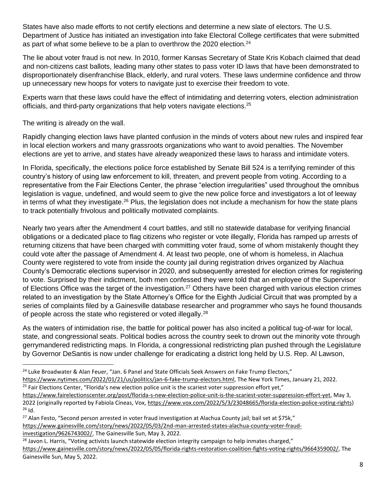States have also made efforts to not certify elections and determine a new slate of electors. The U.S. Department of Justice has initiated an investigation into fake Electoral College certificates that were submitted as part of what some believe to be a plan to overthrow the 2020 election.<sup>24</sup>

The lie about voter fraud is not new. In 2010, former Kansas Secretary of State Kris Kobach claimed that dead and non-citizens cast ballots, leading many other states to pass voter ID laws that have been demonstrated to disproportionately disenfranchise Black, elderly, and rural voters. These laws undermine confidence and throw up unnecessary new hoops for voters to navigate just to exercise their freedom to vote.

Experts warn that these laws could have the effect of intimidating and deterring voters, election administration officials, and third-party organizations that help voters navigate elections.<sup>25</sup>

The writing is already on the wall.

Rapidly changing election laws have planted confusion in the minds of voters about new rules and inspired fear in local election workers and many grassroots organizations who want to avoid penalties. The November elections are yet to arrive, and states have already weaponized these laws to harass and intimidate voters.

In Florida, specifically, the elections police force established by Senate Bill 524 is a terrifying reminder of this country's history of using law enforcement to kill, threaten, and prevent people from voting. According to a representative from the Fair Elections Center, the phrase "election irregularities" used throughout the omnibus legislation is vague, undefined, and would seem to give the new police force and investigators a lot of leeway in terms of what they investigate.<sup>26</sup> Plus, the legislation does not include a mechanism for how the state plans to track potentially frivolous and politically motivated complaints.

Nearly two years after the Amendment 4 court battles, and still no statewide database for verifying financial obligations or a dedicated place to flag citizens who register or vote illegally, Florida has ramped up arrests of returning citizens that have been charged with committing voter fraud, some of whom mistakenly thought they could vote after the passage of Amendment 4. At least two people, one of whom is homeless, in Alachua County were registered to vote from inside the county jail during registration drives organized by Alachua County's Democratic elections supervisor in 2020, and subsequently arrested for election crimes for registering to vote. Surprised by their indictment, both men confessed they were told that an employee of the Supervisor of Elections Office was the target of the investigation.<sup>27</sup> Others have been charged with various election crimes related to an investigation by the State Attorney's Office for the Eighth Judicial Circuit that was prompted by a series of complaints filed by a Gainesville database researcher and programmer who says he found thousands of people across the state who registered or voted illegally.<sup>28</sup>

As the waters of intimidation rise, the battle for political power has also incited a political tug-of-war for local, state, and congressional seats. Political bodies across the country seek to drown out the minority vote through gerrymandered redistricting maps. In Florida, a congressional redistricting plan pushed through the Legislature by Governor DeSantis is now under challenge for eradicating a district long held by U.S. Rep. Al Lawson,

<sup>27</sup> Alan Festo, "Second person arrested in voter fraud investigation at Alachua County jail; bail set at \$75k," [https://www.gainesville.com/story/news/2022/05/03/2nd-man-arrested-states-alachua-county-voter-fraud](https://www.gainesville.com/story/news/2022/05/03/2nd-man-arrested-states-alachua-county-voter-fraud-investigation/9626743002/)[investigation/9626743002/,](https://www.gainesville.com/story/news/2022/05/03/2nd-man-arrested-states-alachua-county-voter-fraud-investigation/9626743002/) The Gainesville Sun, May 3, 2022.

 $^{28}$  Javon L. Harris, "Voting activists launch statewide election integrity campaign to help inmates charged," [https://www.gainesville.com/story/news/2022/05/05/florida-rights-restoration-coalition-fights-voting-rights/9664359002/,](https://www.gainesville.com/story/news/2022/05/05/florida-rights-restoration-coalition-fights-voting-rights/9664359002/) The Gainesville Sun, May 5, 2022.

<sup>&</sup>lt;sup>24</sup> Luke Broadwater & Alan Feuer, "Jan. 6 Panel and State Officials Seek Answers on Fake Trump Electors,"

[https://www.nytimes.com/2022/01/21/us/politics/jan-6-fake-trump-electors.html,](https://www.nytimes.com/2022/01/21/us/politics/jan-6-fake-trump-electors.html) The New York Times, January 21, 2022.  $25$  Fair Elections Center, "Florida's new election police unit is the scariest voter suppression effort yet,"

[https://www.fairelectionscenter.org/post/florida-s-new-election-police-unit-is-the-scariest-voter-suppression-effort-yet,](https://www.fairelectionscenter.org/post/florida-s-new-election-police-unit-is-the-scariest-voter-suppression-effort-yet) May 3, 2022 (originally reported by Fabiola Cineas, Vox, [https://www.vox.com/2022/5/3/23048665/florida-election-police-voting-rights\)](https://www.vox.com/2022/5/3/23048665/florida-election-police-voting-rights)  $26$  Id.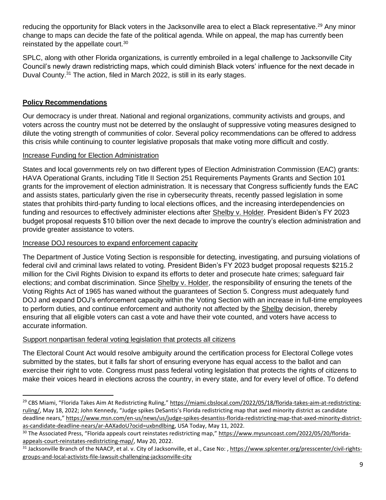reducing the opportunity for Black voters in the Jacksonville area to elect a Black representative.<sup>29</sup> Any minor change to maps can decide the fate of the political agenda. While on appeal, the map has currently been reinstated by the appellate court.<sup>30</sup>

SPLC, along with other Florida organizations, is currently embroiled in a legal challenge to Jacksonville City Council's newly drawn redistricting maps, which could diminish Black voters' influence for the next decade in Duval County.<sup>31</sup> The action, filed in March 2022, is still in its early stages.

### **Policy Recommendations**

Our democracy is under threat. National and regional organizations, community activists and groups, and voters across the country must not be deterred by the onslaught of suppressive voting measures designed to dilute the voting strength of communities of color. Several policy recommendations can be offered to address this crisis while continuing to counter legislative proposals that make voting more difficult and costly.

### Increase Funding for Election Administration

States and local governments rely on two different types of Election Administration Commission (EAC) grants: HAVA Operational Grants, including Title II Section 251 Requirements Payments Grants and Section 101 grants for the improvement of election administration. It is necessary that Congress sufficiently funds the EAC and assists states, particularly given the rise in cybersecurity threats, recently passed legislation in some states that prohibits third-party funding to local elections offices, and the increasing interdependencies on funding and resources to effectively administer elections after Shelby v. Holder. President Biden's FY 2023 budget proposal requests \$10 billion over the next decade to improve the country's election administration and provide greater assistance to voters.

#### Increase DOJ resources to expand enforcement capacity

The Department of Justice Voting Section is responsible for detecting, investigating, and pursuing violations of federal civil and criminal laws related to voting. President Biden's FY 2023 budget proposal requests \$215.2 million for the Civil Rights Division to expand its efforts to deter and prosecute hate crimes; safeguard fair elections; and combat discrimination. Since Shelby v. Holder, the responsibility of ensuring the tenets of the Voting Rights Act of 1965 has waned without the guarantees of Section 5. Congress must adequately fund DOJ and expand DOJ's enforcement capacity within the Voting Section with an increase in full-time employees to perform duties, and continue enforcement and authority not affected by the Shelby decision, thereby ensuring that all eligible voters can cast a vote and have their vote counted, and voters have access to accurate information.

### Support nonpartisan federal voting legislation that protects all citizens

The Electoral Count Act would resolve ambiguity around the certification process for Electoral College votes submitted by the states, but it falls far short of ensuring everyone has equal access to the ballot and can exercise their right to vote. Congress must pass federal voting legislation that protects the rights of citizens to make their voices heard in elections across the country, in every state, and for every level of office. To defend

<sup>&</sup>lt;sup>29</sup> CBS Miami, "Florida Takes Aim At Redistricting Ruling," [https://miami.cbslocal.com/2022/05/18/florida-takes-aim-at-redistricting](https://miami.cbslocal.com/2022/05/18/florida-takes-aim-at-redistricting-ruling/)[ruling/,](https://miami.cbslocal.com/2022/05/18/florida-takes-aim-at-redistricting-ruling/) May 18, 2022; John Kennedy, "Judge spikes DeSantis's Florida redistricting map that axed minority district as candidate deadline nears," [https://www.msn.com/en-us/news/us/judge-spikes-desantiss-florida-redistricting-map-that-axed-minority-district](https://www.msn.com/en-us/news/us/judge-spikes-desantiss-florida-redistricting-map-that-axed-minority-district-as-candidate-deadline-nears/ar-AAXadoU?ocid=uxbndlbing)[as-candidate-deadline-nears/ar-AAXadoU?ocid=uxbndlbing,](https://www.msn.com/en-us/news/us/judge-spikes-desantiss-florida-redistricting-map-that-axed-minority-district-as-candidate-deadline-nears/ar-AAXadoU?ocid=uxbndlbing) USA Today, May 11, 2022.

<sup>&</sup>lt;sup>30</sup> The Associated Press, "Florida appeals court reinstates redistricting map," [https://www.mysuncoast.com/2022/05/20/florida](https://www.mysuncoast.com/2022/05/20/florida-appeals-court-reinstates-redistricting-map/)[appeals-court-reinstates-redistricting-map/,](https://www.mysuncoast.com/2022/05/20/florida-appeals-court-reinstates-redistricting-map/) May 20, 2022.

<sup>31</sup> Jacksonville Branch of the NAACP, et al. v. City of Jacksonville, et al., Case No: , [https://www.splcenter.org/presscenter/civil-rights](https://www.splcenter.org/presscenter/civil-rights-groups-and-local-activists-file-lawsuit-challenging-jacksonville-city)[groups-and-local-activists-file-lawsuit-challenging-jacksonville-city](https://www.splcenter.org/presscenter/civil-rights-groups-and-local-activists-file-lawsuit-challenging-jacksonville-city)